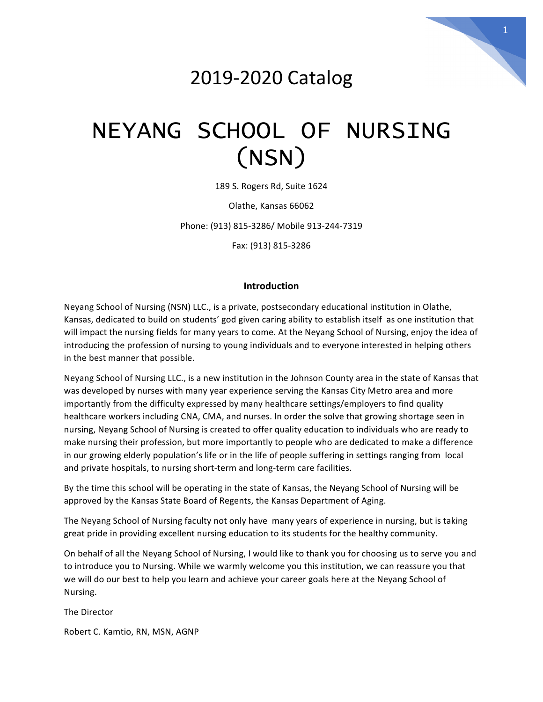# 2019-2020 Catalog

# NEYANG SCHOOL OF NURSING (NSN)

189 S. Rogers Rd, Suite 1624

Olathe, Kansas 66062

Phone: (913) 815-3286/ Mobile 913-244-7319

Fax: (913) 815-3286

# **Introduction**

Neyang School of Nursing (NSN) LLC., is a private, postsecondary educational institution in Olathe, Kansas, dedicated to build on students' god given caring ability to establish itself as one institution that will impact the nursing fields for many years to come. At the Neyang School of Nursing, enjoy the idea of introducing the profession of nursing to young individuals and to everyone interested in helping others in the best manner that possible.

Neyang School of Nursing LLC., is a new institution in the Johnson County area in the state of Kansas that was developed by nurses with many year experience serving the Kansas City Metro area and more importantly from the difficulty expressed by many healthcare settings/employers to find quality healthcare workers including CNA, CMA, and nurses. In order the solve that growing shortage seen in nursing, Neyang School of Nursing is created to offer quality education to individuals who are ready to make nursing their profession, but more importantly to people who are dedicated to make a difference in our growing elderly population's life or in the life of people suffering in settings ranging from local and private hospitals, to nursing short-term and long-term care facilities.

By the time this school will be operating in the state of Kansas, the Neyang School of Nursing will be approved by the Kansas State Board of Regents, the Kansas Department of Aging.

The Neyang School of Nursing faculty not only have many years of experience in nursing, but is taking great pride in providing excellent nursing education to its students for the healthy community.

On behalf of all the Neyang School of Nursing, I would like to thank you for choosing us to serve you and to introduce you to Nursing. While we warmly welcome you this institution, we can reassure you that we will do our best to help you learn and achieve your career goals here at the Neyang School of Nursing.

The Director

Robert C. Kamtio, RN, MSN, AGNP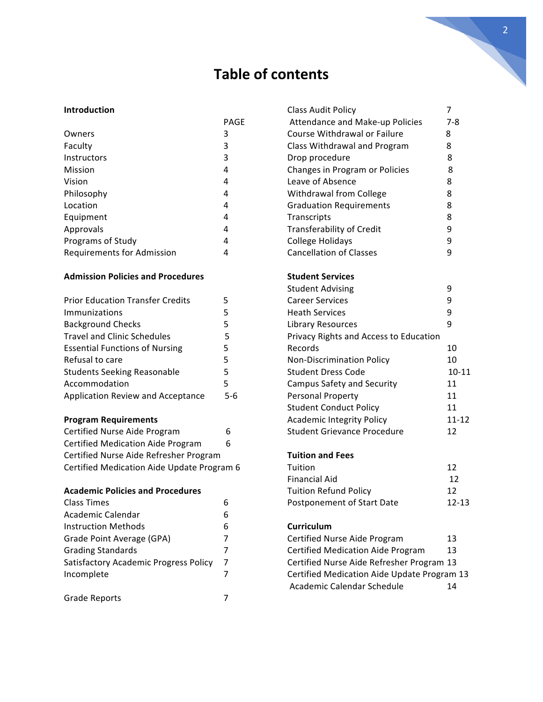# **Table of contents**

# **Introduction**

|                                   | PAGE |
|-----------------------------------|------|
| Owners                            | 3    |
| Faculty                           | 3    |
| Instructors                       | 3    |
| Mission                           | 4    |
| Vision                            | 4    |
| Philosophy                        | 4    |
| Location                          | 4    |
| Equipment                         | 4    |
| Approvals                         | 4    |
| Programs of Study                 | 4    |
| <b>Requirements for Admission</b> | 4    |

# **Admission Policies and Procedures**

| <b>Prior Education Transfer Credits</b>  | 5   |
|------------------------------------------|-----|
| Immunizations                            | 5   |
| <b>Background Checks</b>                 | 5   |
| <b>Travel and Clinic Schedules</b>       | 5   |
| <b>Essential Functions of Nursing</b>    | 5   |
| Refusal to care                          | 5   |
| <b>Students Seeking Reasonable</b>       | 5   |
| Accommodation                            | 5   |
| <b>Application Review and Acceptance</b> | 5-6 |
| <b>Program Requirements</b>              |     |
|                                          |     |

| Certified Nurse Aide Program               | b |
|--------------------------------------------|---|
| <b>Certified Medication Aide Program</b>   | 6 |
| Certified Nurse Aide Refresher Program     |   |
| Certified Medication Aide Update Program 6 |   |

# **Academic Policies and Procedures**

| <b>Class Times</b>                    | 6 |
|---------------------------------------|---|
| Academic Calendar                     | 6 |
| <b>Instruction Methods</b>            | 6 |
| Grade Point Average (GPA)             | 7 |
| <b>Grading Standards</b>              | 7 |
| Satisfactory Academic Progress Policy | 7 |
| Incomplete                            | 7 |
|                                       |   |
| <b>Grade Reports</b>                  |   |
|                                       |   |

| <b>Class Audit Policy</b>                   | 7         |
|---------------------------------------------|-----------|
| Attendance and Make-up Policies             | $7 - 8$   |
| Course Withdrawal or Failure                | 8         |
| Class Withdrawal and Program                | 8         |
| Drop procedure                              | 8         |
| Changes in Program or Policies              | 8         |
| Leave of Absence                            | 8         |
| Withdrawal from College                     | 8         |
| <b>Graduation Requirements</b>              | 8         |
| Transcripts                                 | 8         |
| Transferability of Credit                   | 9         |
| College Holidays                            | 9         |
| <b>Cancellation of Classes</b>              | 9         |
| <b>Student Services</b>                     |           |
| <b>Student Advising</b>                     | 9         |
| <b>Career Services</b>                      | 9         |
| <b>Heath Services</b>                       | 9         |
| Library Resources                           | 9         |
| Privacy Rights and Access to Education      |           |
| Records                                     | 10        |
| <b>Non-Discrimination Policy</b>            | 10        |
| <b>Student Dress Code</b>                   | $10 - 11$ |
| <b>Campus Safety and Security</b>           | 11        |
| Personal Property                           | 11        |
| <b>Student Conduct Policy</b>               | 11        |
| <b>Academic Integrity Policy</b>            | $11 - 12$ |
| <b>Student Grievance Procedure</b>          | 12        |
| <b>Tuition and Fees</b>                     |           |
| Tuition                                     | 12        |
| <b>Financial Aid</b>                        | 12        |
| <b>Tuition Refund Policy</b>                | 12        |
| Postponement of Start Date                  | 12-13     |
| Curriculum                                  |           |
| Certified Nurse Aide Program                | 13        |
| <b>Certified Medication Aide Program</b>    | 13        |
| Certified Nurse Aide Refresher Program 13   |           |
| Certified Medication Aide Update Program 13 |           |
| Academic Calendar Schedule                  | 14        |
|                                             |           |
|                                             |           |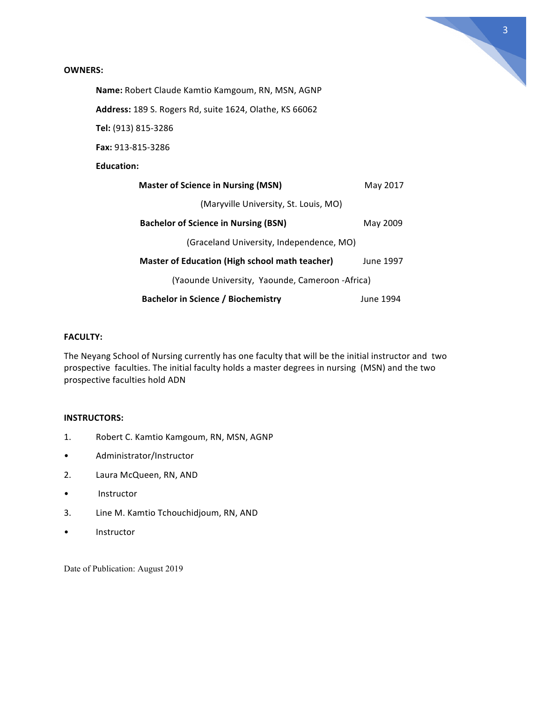

# **OWNERS:**

Name: Robert Claude Kamtio Kamgoum, RN, MSN, AGNP

**Address:** 189 S. Rogers Rd, suite 1624, Olathe, KS 66062

**Tel:** (913) 815-3286

**Fax:** 913-815-3286

# **Education:**

| <b>Master of Science in Nursing (MSN)</b>             | May 2017  |
|-------------------------------------------------------|-----------|
| (Maryville University, St. Louis, MO)                 |           |
| <b>Bachelor of Science in Nursing (BSN)</b>           | May 2009  |
| (Graceland University, Independence, MO)              |           |
| <b>Master of Education (High school math teacher)</b> | June 1997 |
| (Yaounde University, Yaounde, Cameroon -Africa)       |           |
| <b>Bachelor in Science / Biochemistry</b>             | June 1994 |

# **FACULTY:**

The Neyang School of Nursing currently has one faculty that will be the initial instructor and two prospective faculties. The initial faculty holds a master degrees in nursing (MSN) and the two prospective faculties hold ADN

# **INSTRUCTORS:**

- 1. Robert C. Kamtio Kamgoum, RN, MSN, AGNP
- Administrator/Instructor
- 2. Laura McQueen, RN, AND
- Instructor
- 3. Line M. Kamtio Tchouchidjoum, RN, AND
- Instructor

Date of Publication: August 2019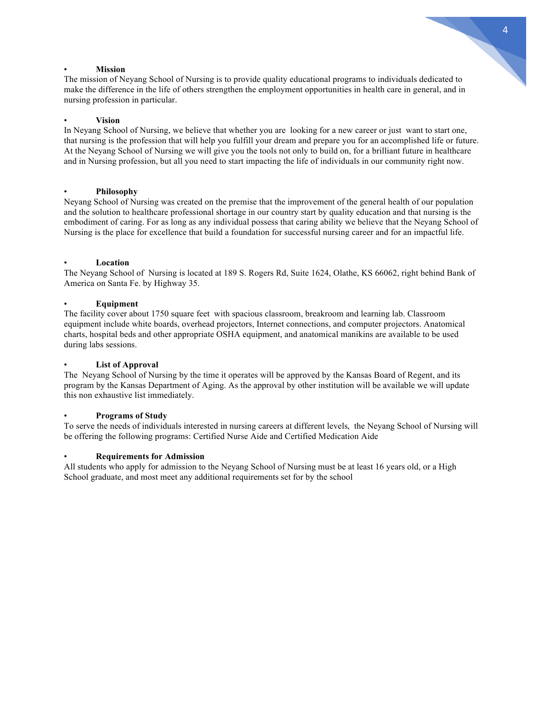#### • **Mission**

The mission of Neyang School of Nursing is to provide quality educational programs to individuals dedicated to make the difference in the life of others strengthen the employment opportunities in health care in general, and in nursing profession in particular.

# • **Vision**

In Neyang School of Nursing, we believe that whether you are looking for a new career or just want to start one, that nursing is the profession that will help you fulfill your dream and prepare you for an accomplished life or future. At the Neyang School of Nursing we will give you the tools not only to build on, for a brilliant future in healthcare and in Nursing profession, but all you need to start impacting the life of individuals in our community right now.

# • **Philosophy**

Neyang School of Nursing was created on the premise that the improvement of the general health of our population and the solution to healthcare professional shortage in our country start by quality education and that nursing is the embodiment of caring. For as long as any individual possess that caring ability we believe that the Neyang School of Nursing is the place for excellence that build a foundation for successful nursing career and for an impactful life.

# • **Location**

The Neyang School of Nursing is located at 189 S. Rogers Rd, Suite 1624, Olathe, KS 66062, right behind Bank of America on Santa Fe. by Highway 35.

# • **Equipment**

The facility cover about 1750 square feet with spacious classroom, breakroom and learning lab. Classroom equipment include white boards, overhead projectors, Internet connections, and computer projectors. Anatomical charts, hospital beds and other appropriate OSHA equipment, and anatomical manikins are available to be used during labs sessions.

## • **List of Approval**

The Neyang School of Nursing by the time it operates will be approved by the Kansas Board of Regent, and its program by the Kansas Department of Aging. As the approval by other institution will be available we will update this non exhaustive list immediately.

# • **Programs of Study**

To serve the needs of individuals interested in nursing careers at different levels, the Neyang School of Nursing will be offering the following programs: Certified Nurse Aide and Certified Medication Aide

#### • **Requirements for Admission**

All students who apply for admission to the Neyang School of Nursing must be at least 16 years old, or a High School graduate, and most meet any additional requirements set for by the school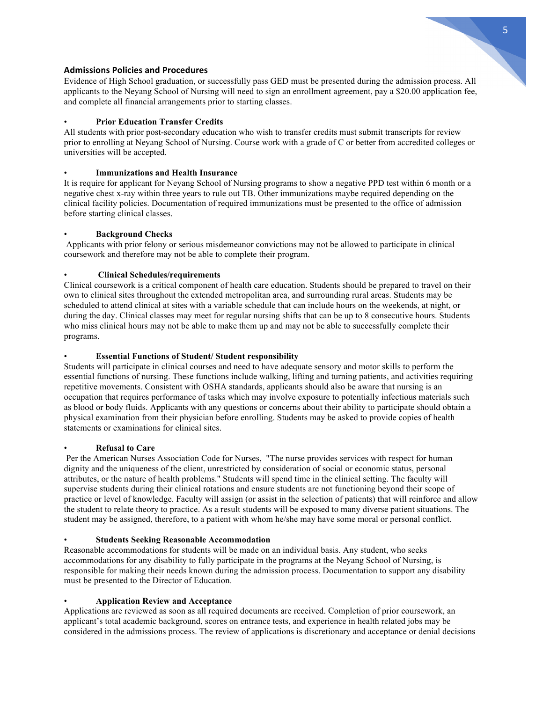

# **Admissions Policies and Procedures**

Evidence of High School graduation, or successfully pass GED must be presented during the admission process. All applicants to the Neyang School of Nursing will need to sign an enrollment agreement, pay a \$20.00 application fee, and complete all financial arrangements prior to starting classes.

# • **Prior Education Transfer Credits**

All students with prior post-secondary education who wish to transfer credits must submit transcripts for review prior to enrolling at Neyang School of Nursing. Course work with a grade of C or better from accredited colleges or universities will be accepted.

## • **Immunizations and Health Insurance**

It is require for applicant for Neyang School of Nursing programs to show a negative PPD test within 6 month or a negative chest x-ray within three years to rule out TB. Other immunizations maybe required depending on the clinical facility policies. Documentation of required immunizations must be presented to the office of admission before starting clinical classes.

# • **Background Checks**

Applicants with prior felony or serious misdemeanor convictions may not be allowed to participate in clinical coursework and therefore may not be able to complete their program.

# • **Clinical Schedules/requirements**

Clinical coursework is a critical component of health care education. Students should be prepared to travel on their own to clinical sites throughout the extended metropolitan area, and surrounding rural areas. Students may be scheduled to attend clinical at sites with a variable schedule that can include hours on the weekends, at night, or during the day. Clinical classes may meet for regular nursing shifts that can be up to 8 consecutive hours. Students who miss clinical hours may not be able to make them up and may not be able to successfully complete their programs.

# • **Essential Functions of Student/ Student responsibility**

Students will participate in clinical courses and need to have adequate sensory and motor skills to perform the essential functions of nursing. These functions include walking, lifting and turning patients, and activities requiring repetitive movements. Consistent with OSHA standards, applicants should also be aware that nursing is an occupation that requires performance of tasks which may involve exposure to potentially infectious materials such as blood or body fluids. Applicants with any questions or concerns about their ability to participate should obtain a physical examination from their physician before enrolling. Students may be asked to provide copies of health statements or examinations for clinical sites.

# • **Refusal to Care**

Per the American Nurses Association Code for Nurses, "The nurse provides services with respect for human dignity and the uniqueness of the client, unrestricted by consideration of social or economic status, personal attributes, or the nature of health problems." Students will spend time in the clinical setting. The faculty will supervise students during their clinical rotations and ensure students are not functioning beyond their scope of practice or level of knowledge. Faculty will assign (or assist in the selection of patients) that will reinforce and allow the student to relate theory to practice. As a result students will be exposed to many diverse patient situations. The student may be assigned, therefore, to a patient with whom he/she may have some moral or personal conflict.

#### • **Students Seeking Reasonable Accommodation**

Reasonable accommodations for students will be made on an individual basis. Any student, who seeks accommodations for any disability to fully participate in the programs at the Neyang School of Nursing, is responsible for making their needs known during the admission process. Documentation to support any disability must be presented to the Director of Education.

# • **Application Review and Acceptance**

Applications are reviewed as soon as all required documents are received. Completion of prior coursework, an applicant's total academic background, scores on entrance tests, and experience in health related jobs may be considered in the admissions process. The review of applications is discretionary and acceptance or denial decisions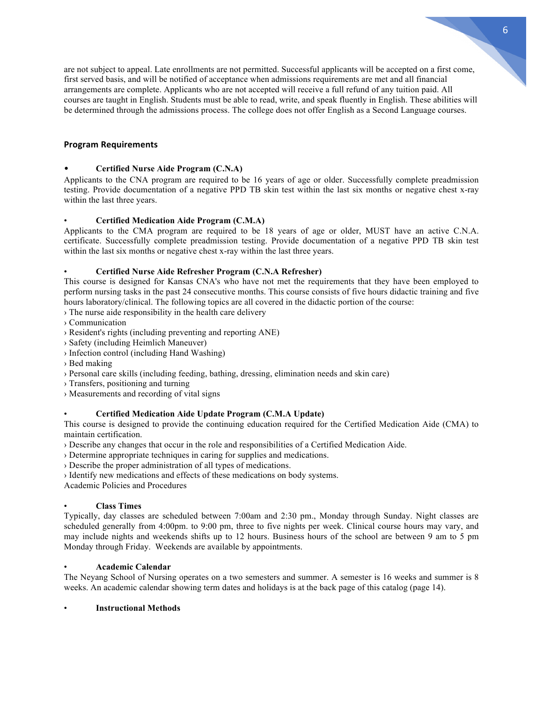are not subject to appeal. Late enrollments are not permitted. Successful applicants will be accepted on a first come, first served basis, and will be notified of acceptance when admissions requirements are met and all financial arrangements are complete. Applicants who are not accepted will receive a full refund of any tuition paid. All courses are taught in English. Students must be able to read, write, and speak fluently in English. These abilities will be determined through the admissions process. The college does not offer English as a Second Language courses.

# **Program Requirements**

# • **Certified Nurse Aide Program (C.N.A)**

Applicants to the CNA program are required to be 16 years of age or older. Successfully complete preadmission testing. Provide documentation of a negative PPD TB skin test within the last six months or negative chest x-ray within the last three years.

# • **Certified Medication Aide Program (C.M.A)**

Applicants to the CMA program are required to be 18 years of age or older, MUST have an active C.N.A. certificate. Successfully complete preadmission testing. Provide documentation of a negative PPD TB skin test within the last six months or negative chest x-ray within the last three years.

# • **Certified Nurse Aide Refresher Program (C.N.A Refresher)**

This course is designed for Kansas CNA's who have not met the requirements that they have been employed to perform nursing tasks in the past 24 consecutive months. This course consists of five hours didactic training and five hours laboratory/clinical. The following topics are all covered in the didactic portion of the course:

› The nurse aide responsibility in the health care delivery

- › Communication
- › Resident's rights (including preventing and reporting ANE)
- › Safety (including Heimlich Maneuver)
- › Infection control (including Hand Washing)
- › Bed making
- › Personal care skills (including feeding, bathing, dressing, elimination needs and skin care)
- › Transfers, positioning and turning
- › Measurements and recording of vital signs

# • **Certified Medication Aide Update Program (C.M.A Update)**

This course is designed to provide the continuing education required for the Certified Medication Aide (CMA) to maintain certification.

- › Describe any changes that occur in the role and responsibilities of a Certified Medication Aide.
- › Determine appropriate techniques in caring for supplies and medications.
- › Describe the proper administration of all types of medications.
- › Identify new medications and effects of these medications on body systems.

Academic Policies and Procedures

# • **Class Times**

Typically, day classes are scheduled between 7:00am and 2:30 pm., Monday through Sunday. Night classes are scheduled generally from 4:00pm. to 9:00 pm, three to five nights per week. Clinical course hours may vary, and may include nights and weekends shifts up to 12 hours. Business hours of the school are between 9 am to 5 pm Monday through Friday. Weekends are available by appointments.

# • **Academic Calendar**

The Neyang School of Nursing operates on a two semesters and summer. A semester is 16 weeks and summer is 8 weeks. An academic calendar showing term dates and holidays is at the back page of this catalog (page 14).

#### • **Instructional Methods**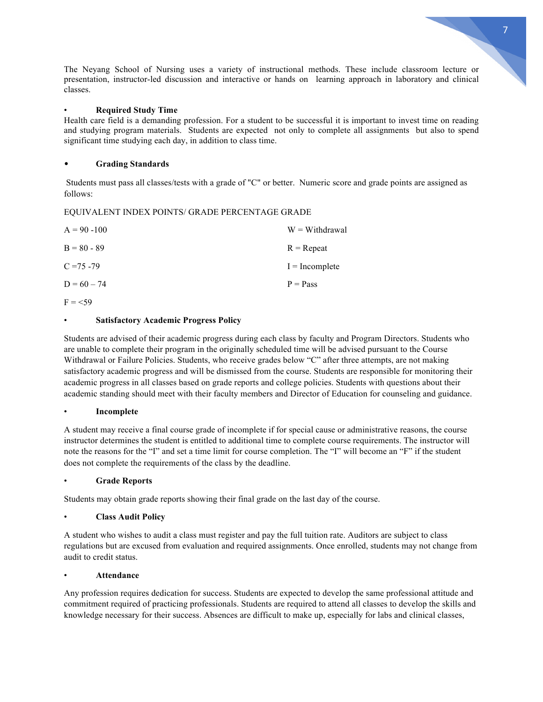The Neyang School of Nursing uses a variety of instructional methods. These include classroom lecture or presentation, instructor-led discussion and interactive or hands on learning approach in laboratory and clinical classes.

# • **Required Study Time**

Health care field is a demanding profession. For a student to be successful it is important to invest time on reading and studying program materials. Students are expected not only to complete all assignments but also to spend significant time studying each day, in addition to class time.

# • **Grading Standards**

Students must pass all classes/tests with a grade of "C" or better. Numeric score and grade points are assigned as follows:

#### EQUIVALENT INDEX POINTS/ GRADE PERCENTAGE GRADE

| $A = 90 - 100$ | $W = Withdrawal$ |
|----------------|------------------|
| $B = 80 - 89$  | $R =$ Repeat     |
| $C = 75 - 79$  | $I = Incomplete$ |
| $D = 60 - 74$  | $P = Pass$       |
| $F = 59$       |                  |

# • **Satisfactory Academic Progress Policy**

Students are advised of their academic progress during each class by faculty and Program Directors. Students who are unable to complete their program in the originally scheduled time will be advised pursuant to the Course Withdrawal or Failure Policies. Students, who receive grades below "C" after three attempts, are not making satisfactory academic progress and will be dismissed from the course. Students are responsible for monitoring their academic progress in all classes based on grade reports and college policies. Students with questions about their academic standing should meet with their faculty members and Director of Education for counseling and guidance.

#### • **Incomplete**

A student may receive a final course grade of incomplete if for special cause or administrative reasons, the course instructor determines the student is entitled to additional time to complete course requirements. The instructor will note the reasons for the "I" and set a time limit for course completion. The "I" will become an "F" if the student does not complete the requirements of the class by the deadline.

#### • **Grade Reports**

Students may obtain grade reports showing their final grade on the last day of the course.

#### • **Class Audit Policy**

A student who wishes to audit a class must register and pay the full tuition rate. Auditors are subject to class regulations but are excused from evaluation and required assignments. Once enrolled, students may not change from audit to credit status.

#### • **Attendance**

Any profession requires dedication for success. Students are expected to develop the same professional attitude and commitment required of practicing professionals. Students are required to attend all classes to develop the skills and knowledge necessary for their success. Absences are difficult to make up, especially for labs and clinical classes,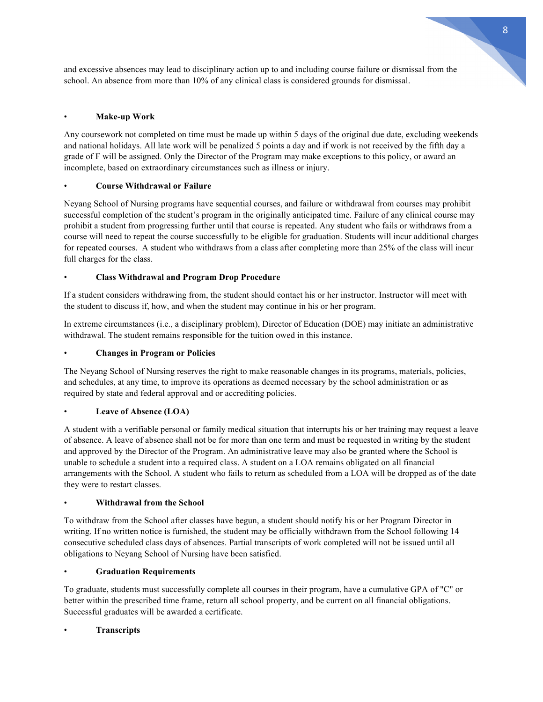and excessive absences may lead to disciplinary action up to and including course failure or dismissal from the school. An absence from more than 10% of any clinical class is considered grounds for dismissal.

# • **Make-up Work**

Any coursework not completed on time must be made up within 5 days of the original due date, excluding weekends and national holidays. All late work will be penalized 5 points a day and if work is not received by the fifth day a grade of F will be assigned. Only the Director of the Program may make exceptions to this policy, or award an incomplete, based on extraordinary circumstances such as illness or injury.

# • **Course Withdrawal or Failure**

Neyang School of Nursing programs have sequential courses, and failure or withdrawal from courses may prohibit successful completion of the student's program in the originally anticipated time. Failure of any clinical course may prohibit a student from progressing further until that course is repeated. Any student who fails or withdraws from a course will need to repeat the course successfully to be eligible for graduation. Students will incur additional charges for repeated courses. A student who withdraws from a class after completing more than 25% of the class will incur full charges for the class.

# • **Class Withdrawal and Program Drop Procedure**

If a student considers withdrawing from, the student should contact his or her instructor. Instructor will meet with the student to discuss if, how, and when the student may continue in his or her program.

In extreme circumstances (i.e., a disciplinary problem), Director of Education (DOE) may initiate an administrative withdrawal. The student remains responsible for the tuition owed in this instance.

# • **Changes in Program or Policies**

The Neyang School of Nursing reserves the right to make reasonable changes in its programs, materials, policies, and schedules, at any time, to improve its operations as deemed necessary by the school administration or as required by state and federal approval and or accrediting policies.

# Leave of Absence (LOA)

A student with a verifiable personal or family medical situation that interrupts his or her training may request a leave of absence. A leave of absence shall not be for more than one term and must be requested in writing by the student and approved by the Director of the Program. An administrative leave may also be granted where the School is unable to schedule a student into a required class. A student on a LOA remains obligated on all financial arrangements with the School. A student who fails to return as scheduled from a LOA will be dropped as of the date they were to restart classes.

# • **Withdrawal from the School**

To withdraw from the School after classes have begun, a student should notify his or her Program Director in writing. If no written notice is furnished, the student may be officially withdrawn from the School following 14 consecutive scheduled class days of absences. Partial transcripts of work completed will not be issued until all obligations to Neyang School of Nursing have been satisfied.

# • **Graduation Requirements**

To graduate, students must successfully complete all courses in their program, have a cumulative GPA of "C" or better within the prescribed time frame, return all school property, and be current on all financial obligations. Successful graduates will be awarded a certificate.

# • **Transcripts**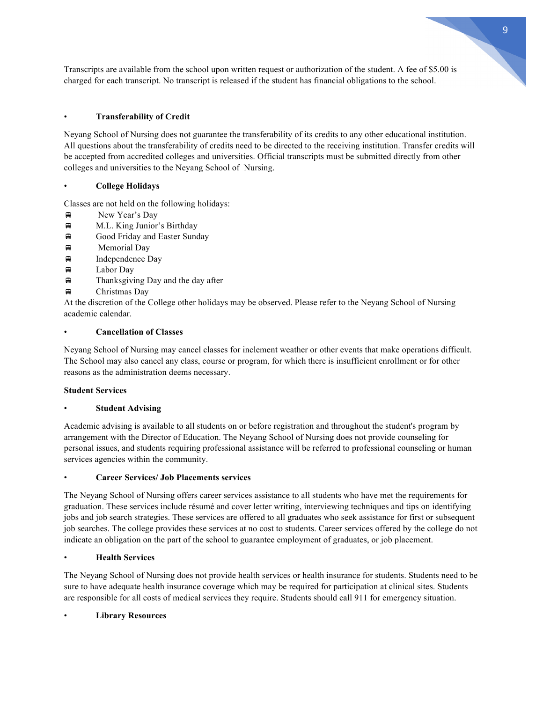Transcripts are available from the school upon written request or authorization of the student. A fee of \$5.00 is charged for each transcript. No transcript is released if the student has financial obligations to the school.

# • **Transferability of Credit**

Neyang School of Nursing does not guarantee the transferability of its credits to any other educational institution. All questions about the transferability of credits need to be directed to the receiving institution. Transfer credits will be accepted from accredited colleges and universities. Official transcripts must be submitted directly from other colleges and universities to the Neyang School of Nursing.

# • **College Holidays**

Classes are not held on the following holidays:

- $\bigoplus$  New Year's Day
- $\bigoplus$  M.L. King Junior's Birthday
- $\bigoplus$  Good Friday and Easter Sunday
- $\Box$  Memorial Day
- $\Box$  Independence Day
- $\Box$  Labor Day
- $\bigoplus$  Thanksgiving Day and the day after
- $\bigoplus$  Christmas Day

At the discretion of the College other holidays may be observed. Please refer to the Neyang School of Nursing academic calendar.

# • **Cancellation of Classes**

Neyang School of Nursing may cancel classes for inclement weather or other events that make operations difficult. The School may also cancel any class, course or program, for which there is insufficient enrollment or for other reasons as the administration deems necessary.

# **Student Services**

# • **Student Advising**

Academic advising is available to all students on or before registration and throughout the student's program by arrangement with the Director of Education. The Neyang School of Nursing does not provide counseling for personal issues, and students requiring professional assistance will be referred to professional counseling or human services agencies within the community.

# • **Career Services/ Job Placements services**

The Neyang School of Nursing offers career services assistance to all students who have met the requirements for graduation. These services include résumé and cover letter writing, interviewing techniques and tips on identifying jobs and job search strategies. These services are offered to all graduates who seek assistance for first or subsequent job searches. The college provides these services at no cost to students. Career services offered by the college do not indicate an obligation on the part of the school to guarantee employment of graduates, or job placement.

# • **Health Services**

The Neyang School of Nursing does not provide health services or health insurance for students. Students need to be sure to have adequate health insurance coverage which may be required for participation at clinical sites. Students are responsible for all costs of medical services they require. Students should call 911 for emergency situation.

# • **Library Resources**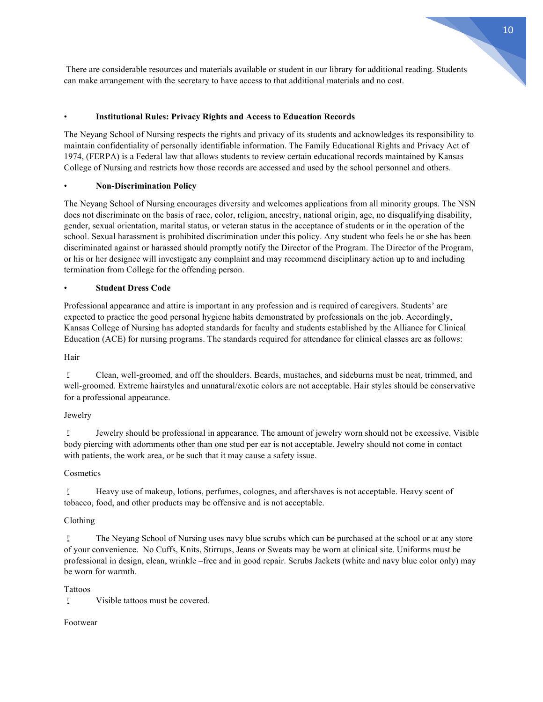There are considerable resources and materials available or student in our library for additional reading. Students can make arrangement with the secretary to have access to that additional materials and no cost.

# • **Institutional Rules: Privacy Rights and Access to Education Records**

The Neyang School of Nursing respects the rights and privacy of its students and acknowledges its responsibility to maintain confidentiality of personally identifiable information. The Family Educational Rights and Privacy Act of 1974, (FERPA) is a Federal law that allows students to review certain educational records maintained by Kansas College of Nursing and restricts how those records are accessed and used by the school personnel and others.

# • **Non-Discrimination Policy**

The Neyang School of Nursing encourages diversity and welcomes applications from all minority groups. The NSN does not discriminate on the basis of race, color, religion, ancestry, national origin, age, no disqualifying disability, gender, sexual orientation, marital status, or veteran status in the acceptance of students or in the operation of the school. Sexual harassment is prohibited discrimination under this policy. Any student who feels he or she has been discriminated against or harassed should promptly notify the Director of the Program. The Director of the Program, or his or her designee will investigate any complaint and may recommend disciplinary action up to and including termination from College for the offending person.

# • **Student Dress Code**

Professional appearance and attire is important in any profession and is required of caregivers. Students' are expected to practice the good personal hygiene habits demonstrated by professionals on the job. Accordingly, Kansas College of Nursing has adopted standards for faculty and students established by the Alliance for Clinical Education (ACE) for nursing programs. The standards required for attendance for clinical classes are as follows:

# Hair

w Clean, well-groomed, and off the shoulders. Beards, mustaches, and sideburns must be neat, trimmed, and well-groomed. Extreme hairstyles and unnatural/exotic colors are not acceptable. Hair styles should be conservative for a professional appearance.

# Jewelry

I Jewelry should be professional in appearance. The amount of jewelry worn should not be excessive. Visible body piercing with adornments other than one stud per ear is not acceptable. Jewelry should not come in contact with patients, the work area, or be such that it may cause a safety issue.

# Cosmetics

I Heavy use of makeup, lotions, perfumes, colognes, and aftershaves is not acceptable. Heavy scent of tobacco, food, and other products may be offensive and is not acceptable.

# Clothing

 $\mathbb{I}$  The Neyang School of Nursing uses navy blue scrubs which can be purchased at the school or at any store of your convenience. No Cuffs, Knits, Stirrups, Jeans or Sweats may be worn at clinical site. Uniforms must be professional in design, clean, wrinkle –free and in good repair. Scrubs Jackets (white and navy blue color only) may be worn for warmth.

# Tattoos

I Visible tattoos must be covered.

# Footwear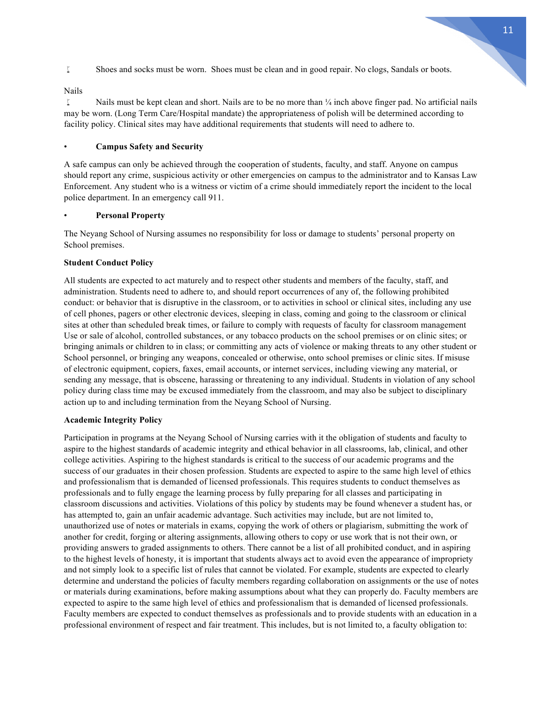I Shoes and socks must be worn. Shoes must be clean and in good repair. No clogs, Sandals or boots.

#### Nails

I Nails must be kept clean and short. Nails are to be no more than  $\frac{1}{4}$  inch above finger pad. No artificial nails may be worn. (Long Term Care/Hospital mandate) the appropriateness of polish will be determined according to facility policy. Clinical sites may have additional requirements that students will need to adhere to.

# • **Campus Safety and Security**

A safe campus can only be achieved through the cooperation of students, faculty, and staff. Anyone on campus should report any crime, suspicious activity or other emergencies on campus to the administrator and to Kansas Law Enforcement. Any student who is a witness or victim of a crime should immediately report the incident to the local police department. In an emergency call 911.

# • **Personal Property**

The Neyang School of Nursing assumes no responsibility for loss or damage to students' personal property on School premises.

# **Student Conduct Policy**

All students are expected to act maturely and to respect other students and members of the faculty, staff, and administration. Students need to adhere to, and should report occurrences of any of, the following prohibited conduct: or behavior that is disruptive in the classroom, or to activities in school or clinical sites, including any use of cell phones, pagers or other electronic devices, sleeping in class, coming and going to the classroom or clinical sites at other than scheduled break times, or failure to comply with requests of faculty for classroom management Use or sale of alcohol, controlled substances, or any tobacco products on the school premises or on clinic sites; or bringing animals or children to in class; or committing any acts of violence or making threats to any other student or School personnel, or bringing any weapons, concealed or otherwise, onto school premises or clinic sites. If misuse of electronic equipment, copiers, faxes, email accounts, or internet services, including viewing any material, or sending any message, that is obscene, harassing or threatening to any individual. Students in violation of any school policy during class time may be excused immediately from the classroom, and may also be subject to disciplinary action up to and including termination from the Neyang School of Nursing.

## **Academic Integrity Policy**

Participation in programs at the Neyang School of Nursing carries with it the obligation of students and faculty to aspire to the highest standards of academic integrity and ethical behavior in all classrooms, lab, clinical, and other college activities. Aspiring to the highest standards is critical to the success of our academic programs and the success of our graduates in their chosen profession. Students are expected to aspire to the same high level of ethics and professionalism that is demanded of licensed professionals. This requires students to conduct themselves as professionals and to fully engage the learning process by fully preparing for all classes and participating in classroom discussions and activities. Violations of this policy by students may be found whenever a student has, or has attempted to, gain an unfair academic advantage. Such activities may include, but are not limited to, unauthorized use of notes or materials in exams, copying the work of others or plagiarism, submitting the work of another for credit, forging or altering assignments, allowing others to copy or use work that is not their own, or providing answers to graded assignments to others. There cannot be a list of all prohibited conduct, and in aspiring to the highest levels of honesty, it is important that students always act to avoid even the appearance of impropriety and not simply look to a specific list of rules that cannot be violated. For example, students are expected to clearly determine and understand the policies of faculty members regarding collaboration on assignments or the use of notes or materials during examinations, before making assumptions about what they can properly do. Faculty members are expected to aspire to the same high level of ethics and professionalism that is demanded of licensed professionals. Faculty members are expected to conduct themselves as professionals and to provide students with an education in a professional environment of respect and fair treatment. This includes, but is not limited to, a faculty obligation to: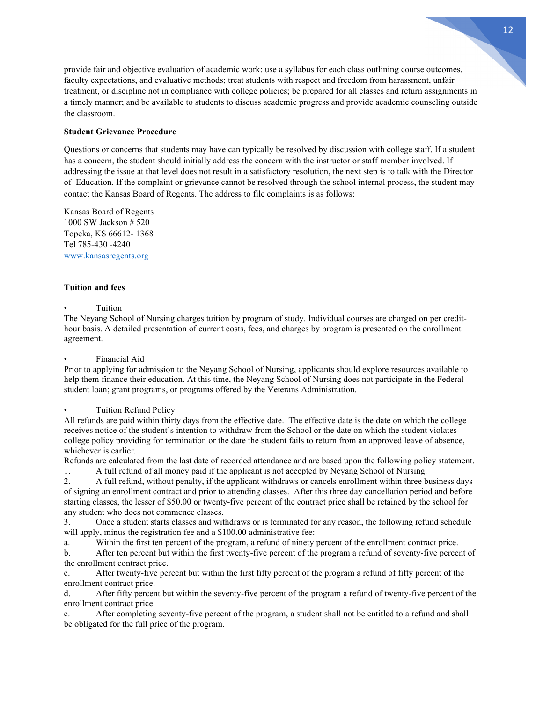provide fair and objective evaluation of academic work; use a syllabus for each class outlining course outcomes, faculty expectations, and evaluative methods; treat students with respect and freedom from harassment, unfair treatment, or discipline not in compliance with college policies; be prepared for all classes and return assignments in a timely manner; and be available to students to discuss academic progress and provide academic counseling outside the classroom.

# **Student Grievance Procedure**

Questions or concerns that students may have can typically be resolved by discussion with college staff. If a student has a concern, the student should initially address the concern with the instructor or staff member involved. If addressing the issue at that level does not result in a satisfactory resolution, the next step is to talk with the Director of Education. If the complaint or grievance cannot be resolved through the school internal process, the student may contact the Kansas Board of Regents. The address to file complaints is as follows:

Kansas Board of Regents 1000 SW Jackson # 520 Topeka, KS 66612- 1368 Tel 785-430 -4240 www.kansasregents.org

# **Tuition and fees**

#### **Tuition**

The Neyang School of Nursing charges tuition by program of study. Individual courses are charged on per credithour basis. A detailed presentation of current costs, fees, and charges by program is presented on the enrollment agreement.

# • Financial Aid

Prior to applying for admission to the Neyang School of Nursing, applicants should explore resources available to help them finance their education. At this time, the Neyang School of Nursing does not participate in the Federal student loan; grant programs, or programs offered by the Veterans Administration.

# • Tuition Refund Policy

All refunds are paid within thirty days from the effective date. The effective date is the date on which the college receives notice of the student's intention to withdraw from the School or the date on which the student violates college policy providing for termination or the date the student fails to return from an approved leave of absence, whichever is earlier.

Refunds are calculated from the last date of recorded attendance and are based upon the following policy statement.

1. A full refund of all money paid if the applicant is not accepted by Neyang School of Nursing.

2. A full refund, without penalty, if the applicant withdraws or cancels enrollment within three business days of signing an enrollment contract and prior to attending classes. After this three day cancellation period and before starting classes, the lesser of \$50.00 or twenty-five percent of the contract price shall be retained by the school for any student who does not commence classes.

3. Once a student starts classes and withdraws or is terminated for any reason, the following refund schedule will apply, minus the registration fee and a \$100.00 administrative fee:

a. Within the first ten percent of the program, a refund of ninety percent of the enrollment contract price.

b. After ten percent but within the first twenty-five percent of the program a refund of seventy-five percent of the enrollment contract price.

c. After twenty-five percent but within the first fifty percent of the program a refund of fifty percent of the enrollment contract price.

d. After fifty percent but within the seventy-five percent of the program a refund of twenty-five percent of the enrollment contract price.

e. After completing seventy-five percent of the program, a student shall not be entitled to a refund and shall be obligated for the full price of the program.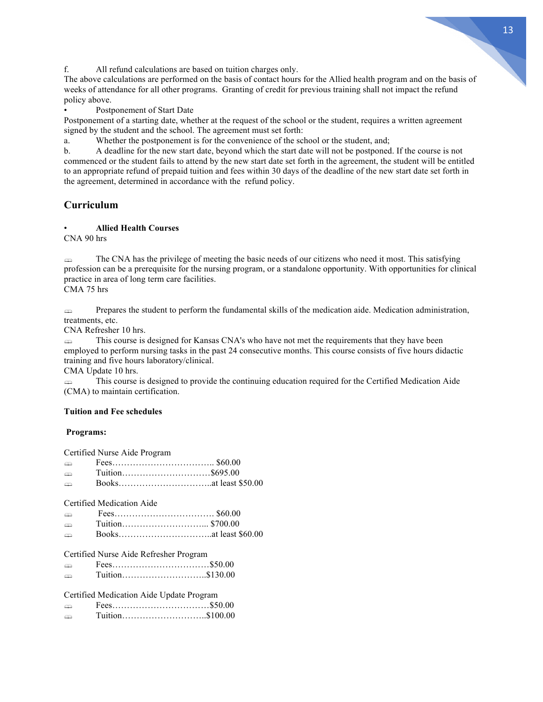

f. All refund calculations are based on tuition charges only.

The above calculations are performed on the basis of contact hours for the Allied health program and on the basis of weeks of attendance for all other programs. Granting of credit for previous training shall not impact the refund policy above.

Postponement of Start Date

Postponement of a starting date, whether at the request of the school or the student, requires a written agreement signed by the student and the school. The agreement must set forth:

a. Whether the postponement is for the convenience of the school or the student, and;

b. A deadline for the new start date, beyond which the start date will not be postponed. If the course is not commenced or the student fails to attend by the new start date set forth in the agreement, the student will be entitled to an appropriate refund of prepaid tuition and fees within 30 days of the deadline of the new start date set forth in the agreement, determined in accordance with the refund policy.

# **Curriculum**

#### • **Allied Health Courses**

CNA 90 hrs

§ The CNA has the privilege of meeting the basic needs of our citizens who need it most. This satisfying profession can be a prerequisite for the nursing program, or a standalone opportunity. With opportunities for clinical practice in area of long term care facilities.

CMA 75 hrs

§ Prepares the student to perform the fundamental skills of the medication aide. Medication administration, treatments, etc.

CNA Refresher 10 hrs.

§ This course is designed for Kansas CNA's who have not met the requirements that they have been employed to perform nursing tasks in the past 24 consecutive months. This course consists of five hours didactic training and five hours laboratory/clinical.

CMA Update 10 hrs.

§ This course is designed to provide the continuing education required for the Certified Medication Aide (CMA) to maintain certification.

#### **Tuition and Fee schedules**

#### **Programs:**

|               | Certified Nurse Aide Program             |  |
|---------------|------------------------------------------|--|
| m             |                                          |  |
| e             |                                          |  |
| ⊕             |                                          |  |
|               | Certified Medication Aide                |  |
| en            |                                          |  |
| e             |                                          |  |
| ⇔             |                                          |  |
|               | Certified Nurse Aide Refresher Program   |  |
| e             |                                          |  |
| m             | Tuition\$130.00                          |  |
|               | Certified Medication Aide Update Program |  |
| e             |                                          |  |
| $\rightarrow$ | Tuition\$100.00                          |  |